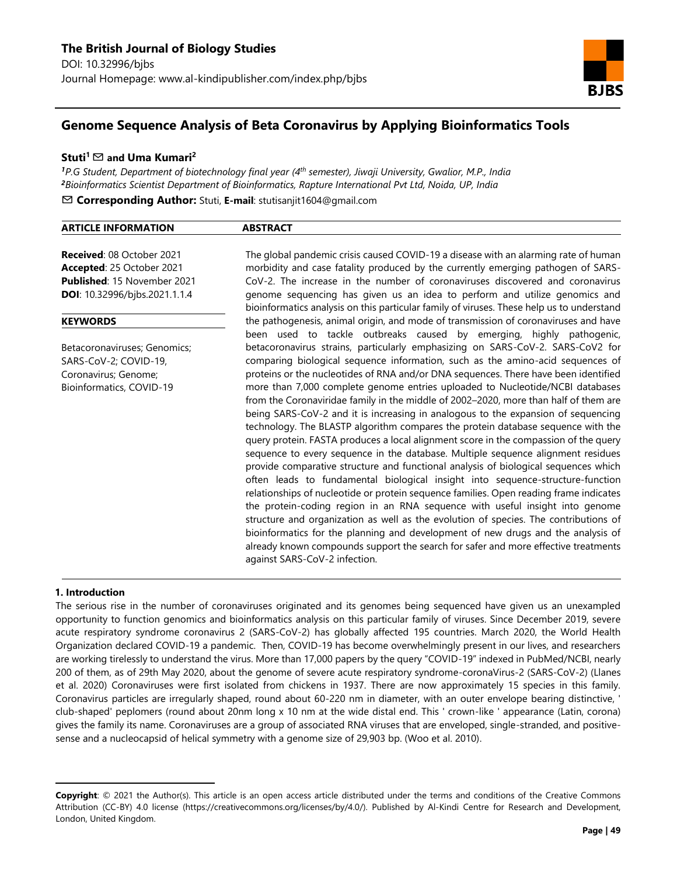

# **Genome Sequence Analysis of Beta Coronavirus by Applying Bioinformatics Tools**

### **Stuti<sup>1</sup>**✉ **and Uma Kumari<sup>2</sup>**

*<sup>1</sup>P.G Student, Department of biotechnology final year (4th semester), Jiwaji University, Gwalior, M.P., India <sup>2</sup>Bioinformatics Scientist Department of Bioinformatics, Rapture International Pvt Ltd, Noida, UP, India*

✉ **Corresponding Author:** Stuti, **E-mail**: stutisanjit1604@gmail.com

| <b>ARTICLE INFORMATION</b> | PCTDAP |  |
|----------------------------|--------|--|
|                            |        |  |

**Received**: 08 October 2021 **Accepted**: 25 October 2021 **Published**: 15 November 2021 **DOI**: 10.32996/bjbs.2021.1.1.4

### **KEYWORDS**

Betacoronaviruses; Genomics; SARS-CoV-2; COVID-19, Coronavirus; Genome; Bioinformatics, COVID-19

The global pandemic crisis caused COVID-19 a disease with an alarming rate of human morbidity and case fatality produced by the currently emerging pathogen of SARS-CoV-2. The increase in the number of coronaviruses discovered and coronavirus genome sequencing has given us an idea to perform and utilize genomics and bioinformatics analysis on this particular family of viruses. These help us to understand the pathogenesis, animal origin, and mode of transmission of coronaviruses and have been used to tackle outbreaks caused by emerging, highly pathogenic, betacoronavirus strains, particularly emphasizing on SARS-CoV-2. SARS-CoV2 for comparing biological sequence information, such as the amino-acid sequences of proteins or the nucleotides of RNA and/or DNA sequences. There have been identified more than 7,000 complete genome entries uploaded to Nucleotide/NCBI databases from the Coronaviridae family in the middle of 2002–2020, more than half of them are being SARS-CoV-2 and it is increasing in analogous to the expansion of sequencing technology. The BLASTP algorithm compares the protein database sequence with the query protein. FASTA produces a local alignment score in the compassion of the query sequence to every sequence in the database. Multiple sequence alignment residues provide comparative structure and functional analysis of biological sequences which often leads to fundamental biological insight into sequence-structure-function relationships of nucleotide or protein sequence families. Open reading frame indicates the protein-coding region in an RNA sequence with useful insight into genome structure and organization as well as the evolution of species. The contributions of bioinformatics for the planning and development of new drugs and the analysis of already known compounds support the search for safer and more effective treatments against SARS-CoV-2 infection.

### **1. Introduction<sup>1</sup>**

 $\overline{a}$ 

The serious rise in the number of coronaviruses originated and its genomes being sequenced have given us an unexampled opportunity to function genomics and bioinformatics analysis on this particular family of viruses. Since December 2019, severe acute respiratory syndrome coronavirus 2 (SARS-CoV-2) has globally affected 195 countries. March 2020, the World Health Organization declared COVID-19 a pandemic. Then, COVID-19 has become overwhelmingly present in our lives, and researchers are working tirelessly to understand the virus. More than 17,000 papers by the query "COVID-19" indexed in PubMed/NCBI, nearly 200 of them, as of 29th May 2020, about the genome of severe acute respiratory syndrome-coronaVirus-2 (SARS-CoV-2) (Llanes et al. 2020) Coronaviruses were first isolated from chickens in 1937. There are now approximately 15 species in this family. Coronavirus particles are irregularly shaped, round about 60-220 nm in diameter, with an outer envelope bearing distinctive, ' club-shaped' peplomers (round about 20nm long x 10 nm at the wide distal end. This ' crown-like ' appearance (Latin, corona) gives the family its name. Coronaviruses are a group of associated RNA viruses that are enveloped, single-stranded, and positivesense and a nucleocapsid of helical symmetry with a genome size of 29,903 bp. (Woo et al. 2010).

**Copyright**: © 2021 the Author(s). This article is an open access article distributed under the terms and conditions of the Creative Commons Attribution (CC-BY) 4.0 license (https://creativecommons.org/licenses/by/4.0/). Published by Al-Kindi Centre for Research and Development, London, United Kingdom.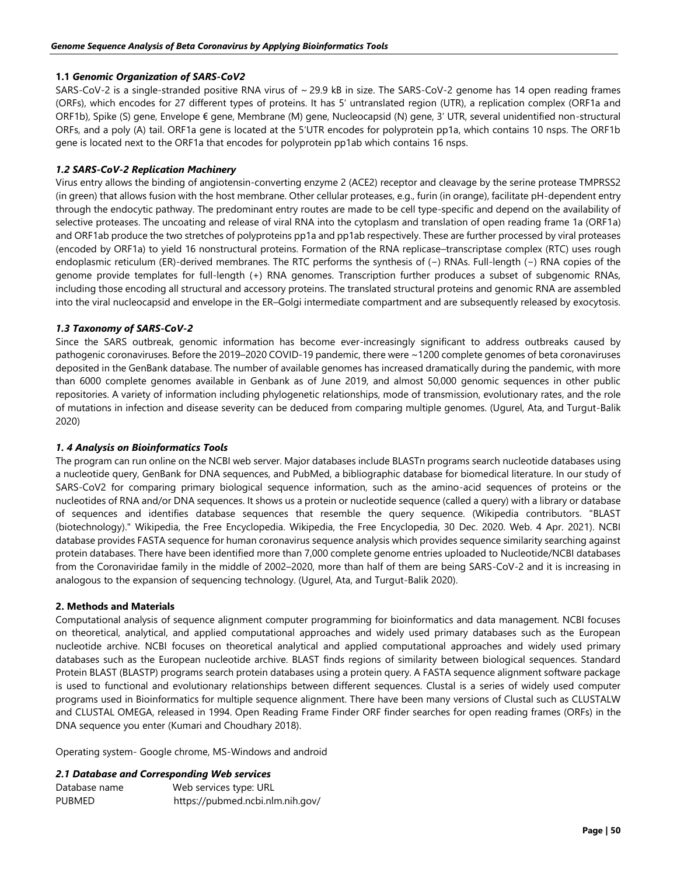### **1.1** *Genomic Organization of SARS-CoV2*

SARS-CoV-2 is a single-stranded positive RNA virus of ~ 29.9 kB in size. The SARS-CoV-2 genome has 14 open reading frames (ORFs), which encodes for 27 different types of proteins. It has 5′ untranslated region (UTR), a replication complex (ORF1a and ORF1b), Spike (S) gene, Envelope € gene, Membrane (M) gene, Nucleocapsid (N) gene, 3′ UTR, several unidentified non-structural ORFs, and a poly (A) tail. ORF1a gene is located at the 5′UTR encodes for polyprotein pp1a, which contains 10 nsps. The ORF1b gene is located next to the ORF1a that encodes for polyprotein pp1ab which contains 16 nsps.

### *1.2 SARS-CoV-2 Replication Machinery*

Virus entry allows the binding of angiotensin-converting enzyme 2 (ACE2) receptor and cleavage by the serine protease TMPRSS2 (in green) that allows fusion with the host membrane. Other cellular proteases, e.g., furin (in orange), facilitate pH-dependent entry through the endocytic pathway. The predominant entry routes are made to be cell type-specific and depend on the availability of selective proteases. The uncoating and release of viral RNA into the cytoplasm and translation of open reading frame 1a (ORF1a) and ORF1ab produce the two stretches of polyproteins pp1a and pp1ab respectively. These are further processed by viral proteases (encoded by ORF1a) to yield 16 nonstructural proteins. Formation of the RNA replicase–transcriptase complex (RTC) uses rough endoplasmic reticulum (ER)-derived membranes. The RTC performs the synthesis of (−) RNAs. Full-length (−) RNA copies of the genome provide templates for full-length (+) RNA genomes. Transcription further produces a subset of subgenomic RNAs, including those encoding all structural and accessory proteins. The translated structural proteins and genomic RNA are assembled into the viral nucleocapsid and envelope in the ER–Golgi intermediate compartment and are subsequently released by exocytosis.

### *1.3 Taxonomy of SARS-CoV-2*

Since the SARS outbreak, genomic information has become ever-increasingly significant to address outbreaks caused by pathogenic coronaviruses. Before the 2019–2020 COVID-19 pandemic, there were ~1200 complete genomes of beta coronaviruses deposited in the GenBank database. The number of available genomes has increased dramatically during the pandemic, with more than 6000 complete genomes available in Genbank as of June 2019, and almost 50,000 genomic sequences in other public repositories. A variety of information including phylogenetic relationships, mode of transmission, evolutionary rates, and the role of mutations in infection and disease severity can be deduced from comparing multiple genomes. (Ugurel, Ata, and Turgut-Balik 2020)

### *1. 4 Analysis on Bioinformatics Tools*

The program can run online on the NCBI web server. Major databases include BLASTn programs search nucleotide databases using a nucleotide query, GenBank for DNA sequences, and PubMed, a bibliographic database for biomedical literature. In our study of SARS-CoV2 for comparing primary biological sequence information, such as the amino-acid sequences of proteins or the nucleotides of RNA and/or DNA sequences. It shows us a protein or nucleotide sequence (called a query) with a library or database of sequences and identifies database sequences that resemble the query sequence. (Wikipedia contributors. "BLAST (biotechnology)." Wikipedia, the Free Encyclopedia. Wikipedia, the Free Encyclopedia, 30 Dec. 2020. Web. 4 Apr. 2021). NCBI database provides FASTA sequence for human coronavirus sequence analysis which provides sequence similarity searching against protein databases. There have been identified more than 7,000 complete genome entries uploaded to Nucleotide/NCBI databases from the Coronaviridae family in the middle of 2002–2020, more than half of them are being SARS-CoV-2 and it is increasing in analogous to the expansion of sequencing technology. (Ugurel, Ata, and Turgut-Balik 2020).

#### **2. Methods and Materials**

Computational analysis of sequence alignment computer programming for bioinformatics and data management. NCBI focuses on theoretical, analytical, and applied computational approaches and widely used primary databases such as the European nucleotide archive. NCBI focuses on theoretical analytical and applied computational approaches and widely used primary databases such as the European nucleotide archive. BLAST finds regions of similarity between biological sequences. Standard Protein BLAST (BLASTP) programs search protein databases using a protein query. A FASTA sequence alignment software package is used to functional and evolutionary relationships between different sequences. Clustal is a series of widely used computer programs used in Bioinformatics for multiple sequence alignment. There have been many versions of Clustal such as CLUSTALW and CLUSTAL OMEGA, released in 1994. Open Reading Frame Finder ORF finder searches for open reading frames (ORFs) in the DNA sequence you enter (Kumari and Choudhary 2018).

Operating system- Google chrome, MS-Windows and android

#### *2.1 Database and Corresponding Web services*

| Database name | Web services type: URL           |
|---------------|----------------------------------|
| <b>PUBMED</b> | https://pubmed.ncbi.nlm.nih.gov/ |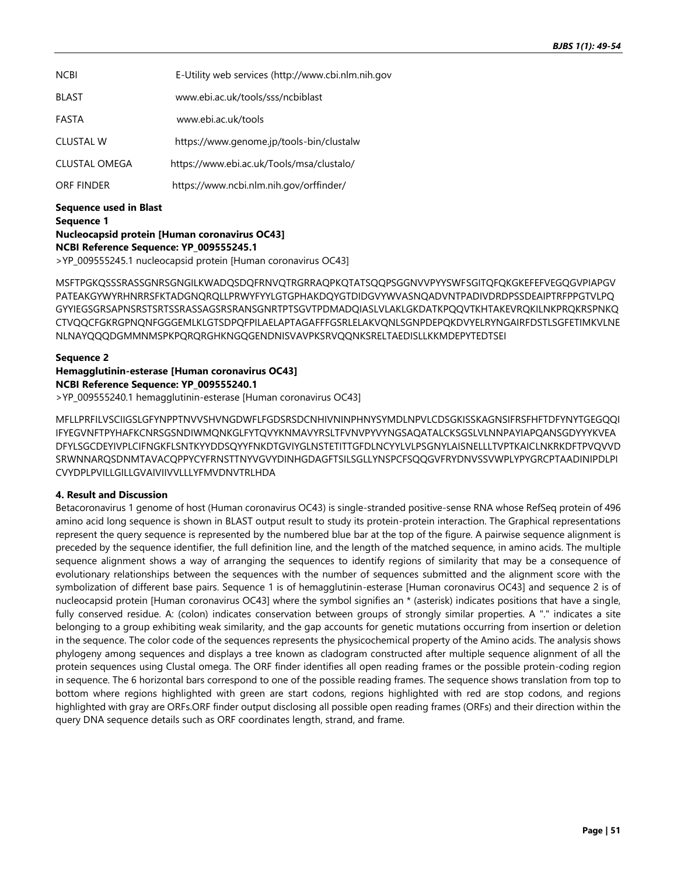| <b>NCBI</b>      | E-Utility web services (http://www.cbi.nlm.nih.gov |
|------------------|----------------------------------------------------|
| <b>BLAST</b>     | www.ebi.ac.uk/tools/sss/ncbiblast                  |
| FASTA            | www.ebi.ac.uk/tools                                |
| <b>CLUSTAL W</b> | https://www.genome.jp/tools-bin/clustalw           |
| CLUSTAL OMEGA    | https://www.ebi.ac.uk/Tools/msa/clustalo/          |
| ORF FINDER       | https://www.ncbi.nlm.nih.gov/orffinder/            |
|                  |                                                    |

**Sequence used in Blast Sequence 1 Nucleocapsid protein [Human coronavirus OC43] NCBI Reference Sequence: YP\_009555245.1**

>YP\_009555245.1 nucleocapsid protein [Human coronavirus OC43]

MSFTPGKQSSSRASSGNRSGNGILKWADQSDQFRNVQTRGRRAQPKQTATSQQPSGGNVVPYYSWFSGITQFQKGKEFEFVEGQGVPIAPGV PATEAKGYWYRHNRRSFKTADGNQRQLLPRWYFYYLGTGPHAKDQYGTDIDGVYWVASNQADVNTPADIVDRDPSSDEAIPTRFPPGTVLPQ GYYIEGSGRSAPNSRSTSRTSSRASSAGSRSRANSGNRTPTSGVTPDMADQIASLVLAKLGKDATKPQQVTKHTAKEVRQKILNKPRQKRSPNKQ CTVQQCFGKRGPNQNFGGGEMLKLGTSDPQFPILAELAPTAGAFFFGSRLELAKVQNLSGNPDEPQKDVYELRYNGAIRFDSTLSGFETIMKVLNE NLNAYQQQDGMMNMSPKPQRQRGHKNGQGENDNISVAVPKSRVQQNKSRELTAEDISLLKKMDEPYTEDTSEI

### **Sequence 2**

## **Hemagglutinin-esterase [Human coronavirus OC43] NCBI Reference Sequence: YP\_009555240.1**

>YP\_009555240.1 hemagglutinin-esterase [Human coronavirus OC43]

MFLLPRFILVSCIIGSLGFYNPPTNVVSHVNGDWFLFGDSRSDCNHIVNINPHNYSYMDLNPVLCDSGKISSKAGNSIFRSFHFTDFYNYTGEGQQI IFYEGVNFTPYHAFKCNRSGSNDIWMQNKGLFYTQVYKNMAVYRSLTFVNVPYVYNGSAQATALCKSGSLVLNNPAYIAPQANSGDYYYKVEA DFYLSGCDEYIVPLCIFNGKFLSNTKYYDDSQYYFNKDTGVIYGLNSTETITTGFDLNCYYLVLPSGNYLAISNELLLTVPTKAICLNKRKDFTPVQVVD SRWNNARQSDNMTAVACQPPYCYFRNSTTNYVGVYDINHGDAGFTSILSGLLYNSPCFSQQGVFRYDNVSSVWPLYPYGRCPTAADINIPDLPI CVYDPLPVILLGILLGVAIVIIVVLLLYFMVDNVTRLHDA

### **4. Result and Discussion**

Betacoronavirus 1 genome of host (Human coronavirus OC43) is single-stranded positive-sense RNA whose RefSeq protein of 496 amino acid long sequence is shown in BLAST output result to study its protein-protein interaction. The Graphical representations represent the query sequence is represented by the numbered blue bar at the top of the figure. A pairwise sequence alignment is preceded by the sequence identifier, the full definition line, and the length of the matched sequence, in amino acids. The multiple sequence alignment shows a way of arranging the sequences to identify regions of similarity that may be a consequence of evolutionary relationships between the sequences with the number of sequences submitted and the alignment score with the symbolization of different base pairs. Sequence 1 is of hemagglutinin-esterase [Human coronavirus OC43] and sequence 2 is of nucleocapsid protein [Human coronavirus OC43] where the symbol signifies an \* (asterisk) indicates positions that have a single, fully conserved residue. A: (colon) indicates conservation between groups of strongly similar properties. A "." indicates a site belonging to a group exhibiting weak similarity, and the gap accounts for genetic mutations occurring from insertion or deletion in the sequence. The color code of the sequences represents the physicochemical property of the Amino acids. The analysis shows phylogeny among sequences and displays a tree known as cladogram constructed after multiple sequence alignment of all the protein sequences using Clustal omega. The ORF finder identifies all open reading frames or the possible protein-coding region in sequence. The 6 horizontal bars correspond to one of the possible reading frames. The sequence shows translation from top to bottom where regions highlighted with green are start codons, regions highlighted with red are stop codons, and regions highlighted with gray are ORFs.ORF finder output disclosing all possible open reading frames (ORFs) and their direction within the query DNA sequence details such as ORF coordinates length, strand, and frame.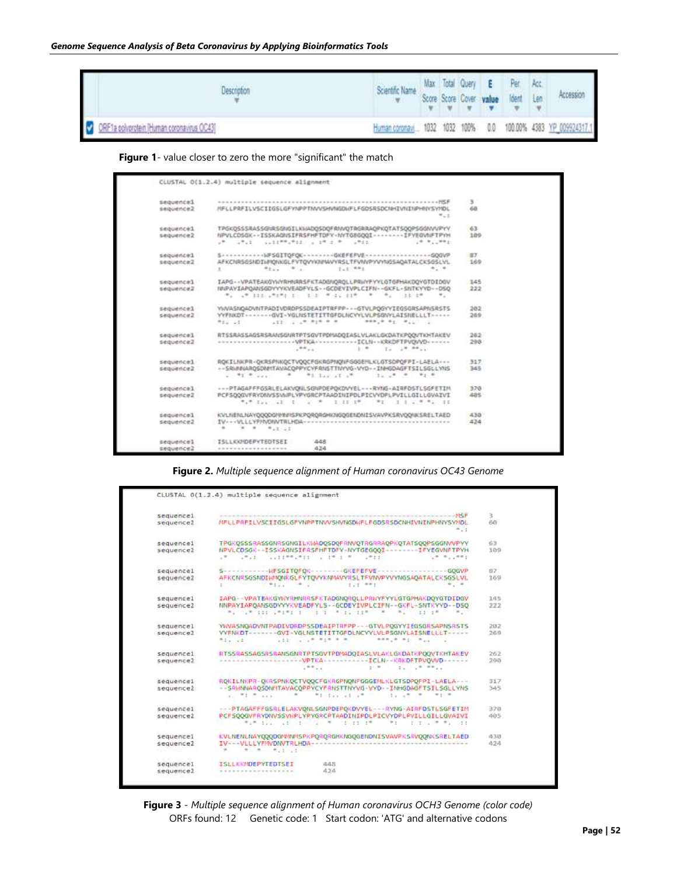| ×                                        | Scientific Name Max Total Query E Per Acc.<br>We Score Score Cover value Ident Len |  |  | $\mathbf{v} \quad \mathbf{v} \quad \mathbf{v} \quad \mathbf{v} \quad \mathbf{v} \quad \mathbf{v}$ | Accession                                                     |
|------------------------------------------|------------------------------------------------------------------------------------|--|--|---------------------------------------------------------------------------------------------------|---------------------------------------------------------------|
| ORF1a polyprotein Human coronavirus OC43 |                                                                                    |  |  |                                                                                                   | Human coronavi 1032 1032 100% 0.0 100.00% 4383 YP_009924317.1 |

 **Figure 1**- value closer to zero the more "significant" the match

| sequence1 |                                                                                                                                                                                                                                | з.  |
|-----------|--------------------------------------------------------------------------------------------------------------------------------------------------------------------------------------------------------------------------------|-----|
| sequence2 | MELLPRFILVSCIIGSLGFYNPPTMAYSHANGDUFLFGDSRSDCNHIVNINPHHYSYNDL                                                                                                                                                                   | 68  |
|           | $+1.1$                                                                                                                                                                                                                         |     |
| sequence1 | TPGK0SSSRASSGNRSGNGILKNADOSDOFRMVOTRGRRAOPKOTATSOOPSGGMV/PYV                                                                                                                                                                   | 63  |
| sequence2 | NPVLCD5GK -- ISSKAGNSIFRSFHFTDFY-NYTGEGOOI -------- IFVEGVNFTPYH                                                                                                                                                               | 189 |
|           | UR GRUE GLEEPRINGE LINES R. LAEL                                                                                                                                                                                               |     |
| sequence1 | 5 - - - - - - - - - - - 10FSGITOFOK - - - - - - - - GKEFEFVE - - - - - - - - - - - - - - - GOGVP                                                                                                                               | 37  |
| sequence2 | AFKCNR56SNDI1/INDNKGLFVTQVYKII/INVYRSLTFVI/VPYVYNGSAQATALCK5GSLVL                                                                                                                                                              | 169 |
|           | Paul P. L. Sal RPs<br>$a_1$ as<br>R. S. L. L. L.                                                                                                                                                                               |     |
| sequence1 | IAPG - - VPATEAKGYWYRHNRRSFKTADGNOROLLPRWYFYYLGTGPHAKOOYGTDIDGV                                                                                                                                                                | 145 |
| sequence2 | NIPAYIAPOANSGDVYVKVEADFYLS -- GCDEVIVPLCIFN -- GKFL - SHTKVYD -- DSO                                                                                                                                                           | 222 |
|           | May 14th 1928 St. E.S. Miles 2007, M. May 122128<br>m.,                                                                                                                                                                        |     |
| sequence1 | YWAASNOADVIYTPADIVDROPSSDEAIPTRFPP - - - GTVLPOGYVIEGSGRSAPIGRSTS                                                                                                                                                              | 383 |
| sequence2 | VVFNKDT ------- GVI-VGLNSTETITTGFDLNCVYLVLPSGWYLAISNELLLT -----                                                                                                                                                                | 269 |
|           | $-111$ . $-14$ Pyf 0 F<br>$-1000$ , $+100$ , $-100$ , $-100$<br>$9.11 - 1.1$                                                                                                                                                   |     |
| sequencel | RTSSRASSAGSRSRANSGNRTPTSGVTPDISADQIASLVLAKLGKDATKPQQVTKHTAKEV                                                                                                                                                                  | 262 |
| sequence2 |                                                                                                                                                                                                                                | 298 |
|           | THE R. P. LEWIS CO., LANSING MICH.<br>$1 + 2 + 1$                                                                                                                                                                              |     |
| sequencel | ROKILNKPR-QKRSPNKQCTVQQCFGKRGPNQNFGGGEHLKLGTSDPQFPI-LAELA---                                                                                                                                                                   | 317 |
| sequence2 | -- SRIINNAROSDNHTAVACOPPYCYFRNSTTNVVG-VVD--INHGDAGFTSILSGLLYNS                                                                                                                                                                 | 345 |
|           | TE Executive<br>$1.14$ $8.14$ $8.14$<br>$-91.9$ and $-1.41$                                                                                                                                                                    |     |
| sequencel | +++PTAGAFFFGSRLELAKVONLSGNPDEPOKDVVEL+++RVMG+AIRFD5TL5GFETIM                                                                                                                                                                   | 378 |
| sequence2 | PCFSOOGVFRYDBNSSVNPLYPYGRCPTAADINIPDLPICVYDPLPVILLGILLGVAIVI                                                                                                                                                                   | 485 |
|           | the same state of the state of the state of the state of the state of the state of the state of the state of the state of the state of the state of the state of the state of the state of the state of the state of the state |     |
| sequencel | KVLNENLNAVQQQDGYVW/ISPILPQRQRGHKNGQGENDNISVAVPKSRVQQNKSRELTAED                                                                                                                                                                 | 438 |
| sequence2 |                                                                                                                                                                                                                                | 424 |
|           | $-100$ $-100$ $-100$ $-100$                                                                                                                                                                                                    |     |
| sequencel | <b>ISLLKKHDEPYTEDTSEI</b><br>448                                                                                                                                                                                               |     |
| sequence2 | 424<br>*****************                                                                                                                                                                                                       |     |

**Figure 2.** *Multiple sequence alignment of Human coronavirus OC43 Genome*

| sequence1             |                                                        |                                                                                                                                                                                                                                                                                                | x             |
|-----------------------|--------------------------------------------------------|------------------------------------------------------------------------------------------------------------------------------------------------------------------------------------------------------------------------------------------------------------------------------------------------|---------------|
| sequence2             |                                                        | MFLLPRFILVSCIIGSLGFYNPPTNVVSHVNGDWFLFGDSRSDCNHIVNINPHNYSYMDL<br>$+1$                                                                                                                                                                                                                           | 68            |
| sequence1             |                                                        | TPGKOSSSRASSGNRSGNGILKWADOSDOFRNVOTRGRRAOPKOTATSOOPSGGNVVPYY                                                                                                                                                                                                                                   | 63            |
| sequence2             |                                                        | NPVLCDSGK -- ISSKAGNSIFRSFHFTDFY-NYTGEGOOI -------- IFYEGVNFTPYH<br>11. 小学 第二、清爽。                                                                                                                                                                                                              | 109           |
| sequence1             |                                                        | Sensalessen WF5GITOFOK-ARRAINGKEPEFVE-ARRAINMENTALLE-GOGVP                                                                                                                                                                                                                                     | 87            |
| sequence2             |                                                        | AFKCNRSGSNDIWNONKGLFYTOVYKNMAVYRSLTFVNVPYVYNGSAOATALCKSGSLVL                                                                                                                                                                                                                                   | 169           |
| sequence1             |                                                        | IAPG -- VPATEAKGYKYRHNRRSFKTADGNOROLLPRNYFYYLGTGPHAKDOYGTDIDGV                                                                                                                                                                                                                                 | 145           |
| sequence2             |                                                        | NNPAYIAPOANSGDYYYKVEADFYLS - - GCDEYIVPLCIFN - - GKFL - SNTKYYD - - DSO<br><b>부모 이 일부 기본을 이용하는데 이 일이 되어 있어서 이 사람들이 정말하는 것이 되어 있었다. 이 사람들이 어떻게 되어 있어?</b>                                                                                                                                       | 222<br>55,000 |
| sequence1             |                                                        | YNVASNQADVNTPADIVORDPSSDEAIPTRFPP - - - GTVLPQGYYIEGSGRSAPNSRSTS                                                                                                                                                                                                                               | 202           |
| sequence <sub>2</sub> | #1.                                                    | YYFNKDT------GVI-YGLNSTETITTGFDLNCYYLVLPSGNYLAISNELLLT----<br><b>SOR. 8 81 8.1</b>                                                                                                                                                                                                             | 269           |
| sequencel             |                                                        | RTSSRASSAGSRSRANSGNRTPTSGVTPDMADQIASLVLAKLGKDATKPQQVTKHTAKEV                                                                                                                                                                                                                                   | 262           |
| sequence2             | $-0.011$                                               |                                                                                                                                                                                                                                                                                                | 290           |
| sequencel             |                                                        | ROKILNKPR-OKRSPNKOCTVCOCFGKRGPNONFGGGEMLKLGTSDPOFPI-LAELA---                                                                                                                                                                                                                                   | 317           |
| sequence2             | $-91.711$                                              | -- SRWINAROSONNTAVACOPPYCYFRNSTTNYVG-VYD -- INHGDAGFTSILSGLLYNS<br>William at a window the state with the                                                                                                                                                                                      | 345           |
| sequence1             |                                                        | --- PTAGAFFFGSRLELAKVONLSGNPDEPOKDVYEL --- RYNG-AIRFDSTLSGFETIM                                                                                                                                                                                                                                | 370           |
| sequence2             |                                                        | PCF500GVFRYDNVSSVHPLYPYGRCPTAADINIPDLPICVYDPLPVILLGILLGVAIVI<br>COMPARTED AND ENDING MULTIPLE AND COMPARTED ARRESTS OF THE CONTROL OF THE CONTROL OF THE CONTROL OF THE CONTROL OF THE CONTROL OF THE CONTROL OF THE CONTROL OF THE CONTROL OF THE CONTROL OF THE CONTROL OF THE CONTROL OF TH | 405           |
| sequence1             |                                                        | KVLNENLNAYOOOOG/WINKSPKPORORGHKNGOGENDNISVAVPKSRVOONKSRELTAED                                                                                                                                                                                                                                  | 430           |
| sequence <sub>2</sub> | Software the control of the property of the control of |                                                                                                                                                                                                                                                                                                | 424           |
| sequence1             | <b>ISLLKKMDEPYTEDTSEI</b>                              | 445                                                                                                                                                                                                                                                                                            |               |
| sequence2             |                                                        | 424                                                                                                                                                                                                                                                                                            |               |

**Figure 3** *- Multiple sequence alignment of Human coronavirus OCH3 Genome (color code)* ORFs found: 12 Genetic code: 1 Start codon: 'ATG' and alternative codons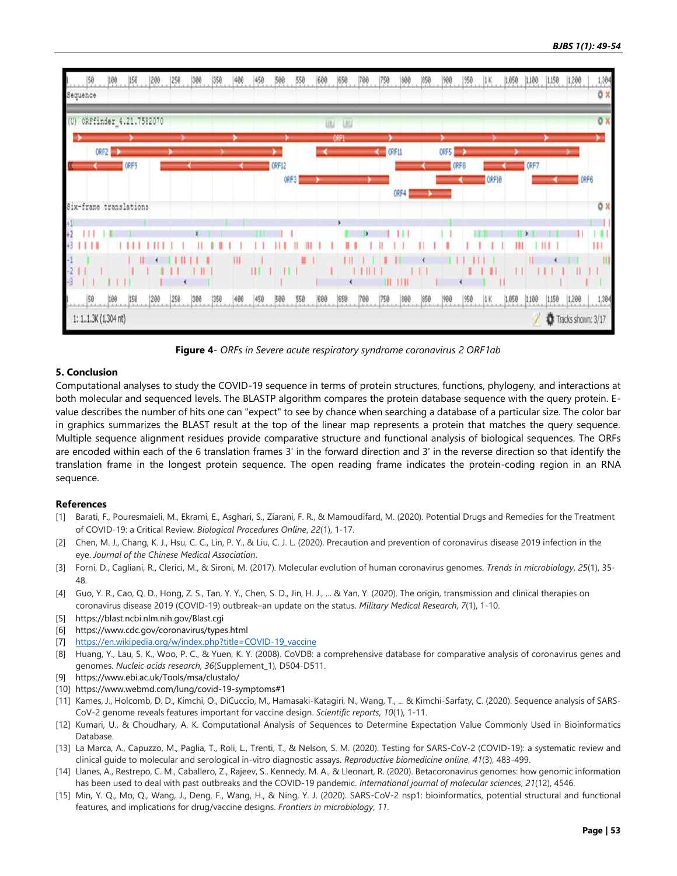

**Figure 4***- ORFs in Severe acute respiratory syndrome coronavirus 2 ORF1ab*

#### **5. Conclusion**

Computational analyses to study the COVID-19 sequence in terms of protein structures, functions, phylogeny, and interactions at both molecular and sequenced levels. The BLASTP algorithm compares the protein database sequence with the query protein. Evalue describes the number of hits one can "expect" to see by chance when searching a database of a particular size. The color bar in graphics summarizes the BLAST result at the top of the linear map represents a protein that matches the query sequence. Multiple sequence alignment residues provide comparative structure and functional analysis of biological sequences. The ORFs are encoded within each of the 6 translation frames 3' in the forward direction and 3' in the reverse direction so that identify the translation frame in the longest protein sequence. The open reading frame indicates the protein-coding region in an RNA sequence.

#### **References**

- [1] Barati, F., Pouresmaieli, M., Ekrami, E., Asghari, S., Ziarani, F. R., & Mamoudifard, M. (2020). Potential Drugs and Remedies for the Treatment of COVID-19: a Critical Review. *Biological Procedures Online*, *22*(1), 1-17.
- [2] Chen, M. J., Chang, K. J., Hsu, C. C., Lin, P. Y., & Liu, C. J. L. (2020). Precaution and prevention of coronavirus disease 2019 infection in the eye. *Journal of the Chinese Medical Association*.
- [3] Forni, D., Cagliani, R., Clerici, M., & Sironi, M. (2017). Molecular evolution of human coronavirus genomes. *Trends in microbiology*, *25*(1), 35- 48.
- [4] Guo, Y. R., Cao, Q. D., Hong, Z. S., Tan, Y. Y., Chen, S. D., Jin, H. J., ... & Yan, Y. (2020). The origin, transmission and clinical therapies on coronavirus disease 2019 (COVID-19) outbreak–an update on the status. *Military Medical Research*, *7*(1), 1-10.
- [5] https://blast.ncbi.nlm.nih.gov/Blast.cgi
- [6] https://www.cdc.gov/coronavirus/types.html
- [7] [https://en.wikipedia.org/w/index.php?title=COVID-19\\_vaccine](https://en.wikipedia.org/w/index.php?title=COVID-19_vaccine)
- [8] Huang, Y., Lau, S. K., Woo, P. C., & Yuen, K. Y. (2008). CoVDB: a comprehensive database for comparative analysis of coronavirus genes and genomes. *Nucleic acids research*, *36*(Supplement\_1), D504-D511.
- [9] https://www.ebi.ac.uk/Tools/msa/clustalo/
- [10] https://www.webmd.com/lung/covid-19-symptoms#1
- [11] Kames, J., Holcomb, D. D., Kimchi, O., DiCuccio, M., Hamasaki-Katagiri, N., Wang, T., ... & Kimchi-Sarfaty, C. (2020). Sequence analysis of SARS-CoV-2 genome reveals features important for vaccine design. *Scientific reports*, *10*(1), 1-11.
- [12] Kumari, U., & Choudhary, A. K. Computational Analysis of Sequences to Determine Expectation Value Commonly Used in Bioinformatics Database.
- [13] La Marca, A., Capuzzo, M., Paglia, T., Roli, L., Trenti, T., & Nelson, S. M. (2020). Testing for SARS-CoV-2 (COVID-19): a systematic review and clinical guide to molecular and serological in-vitro diagnostic assays. *Reproductive biomedicine online*, *41*(3), 483-499.
- [14] Llanes, A., Restrepo, C. M., Caballero, Z., Rajeev, S., Kennedy, M. A., & Lleonart, R. (2020). Betacoronavirus genomes: how genomic information has been used to deal with past outbreaks and the COVID-19 pandemic. *International journal of molecular sciences*, *21*(12), 4546.
- [15] Min, Y. Q., Mo, Q., Wang, J., Deng, F., Wang, H., & Ning, Y. J. (2020). SARS-CoV-2 nsp1: bioinformatics, potential structural and functional features, and implications for drug/vaccine designs. *Frontiers in microbiology*, *11*.